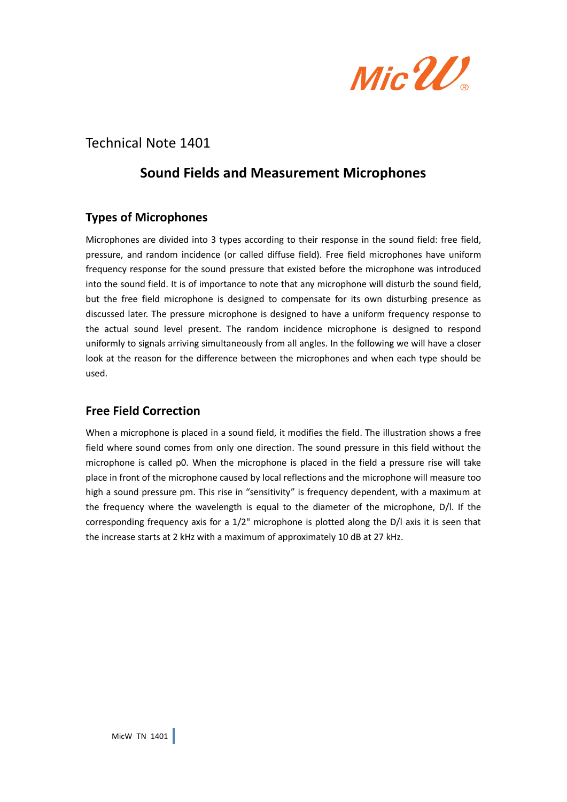

# Technical Note 1401

# **Sound Fields and Measurement Microphones**

# **Types of Microphones**

Microphones are divided into 3 types according to their response in the sound field: free field, pressure, and random incidence (or called diffuse field). Free field microphones have uniform frequency response for the sound pressure that existed before the microphone was introduced into the sound field. It is of importance to note that any microphone will disturb the sound field, but the free field microphone is designed to compensate for its own disturbing presence as discussed later. The pressure microphone is designed to have a uniform frequency response to the actual sound level present. The random incidence microphone is designed to respond uniformly to signals arriving simultaneously from all angles. In the following we will have a closer look at the reason for the difference between the microphones and when each type should be used.

## **Free Field Correction**

When a microphone is placed in a sound field, it modifies the field. The illustration shows a free field where sound comes from only one direction. The sound pressure in this field without the microphone is called p0. When the microphone is placed in the field a pressure rise will take place in front of the microphone caused by local reflections and the microphone will measure too high a sound pressure pm. This rise in "sensitivity" is frequency dependent, with a maximum at the frequency where the wavelength is equal to the diameter of the microphone, D/l. If the corresponding frequency axis for a 1/2" microphone is plotted along the D/l axis it is seen that the increase starts at 2 kHz with a maximum of approximately 10 dB at 27 kHz.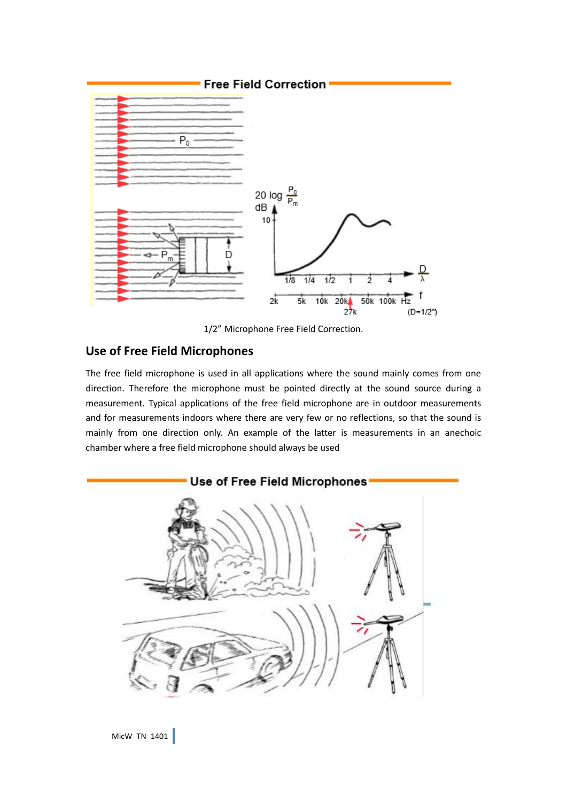

1/2" Microphone Free Field Correction.

## **Use of Free Field Microphones**

The free field microphone is used in all applications where the sound mainly comes from one direction. Therefore the microphone must be pointed directly at the sound source during a measurement. Typical applications of the free field microphone are in outdoor measurements and for measurements indoors where there are very few or no reflections, so that the sound is mainly from one direction only. An example of the latter is measurements in an anechoic chamber where a free field microphone should always be used

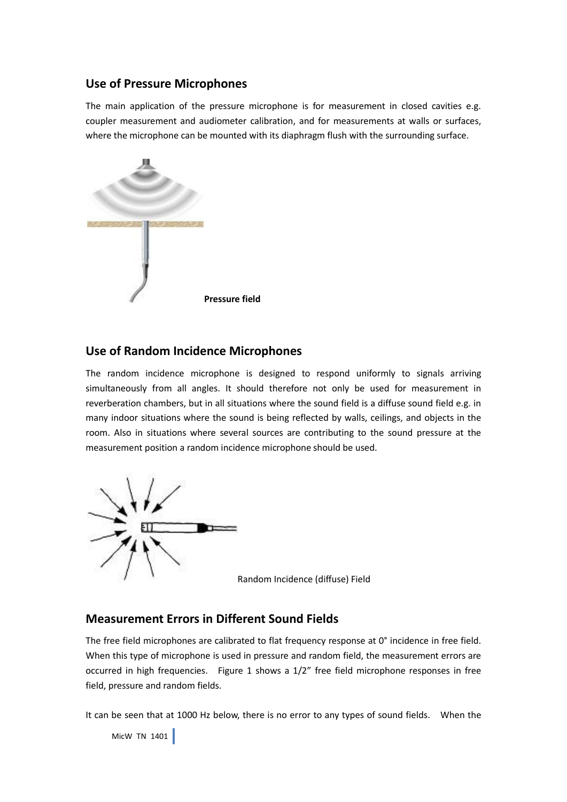#### **Use of Pressure Microphones**

The main application of the pressure microphone is for measurement in closed cavities e.g. coupler measurement and audiometer calibration, and for measurements at walls or surfaces, where the microphone can be mounted with its diaphragm flush with the surrounding surface.



#### **Use of Random Incidence Microphones**

The random incidence microphone is designed to respond uniformly to signals arriving simultaneously from all angles. It should therefore not only be used for measurement in reverberation chambers, but in all situations where the sound field is a diffuse sound field e.g. in many indoor situations where the sound is being reflected by walls, ceilings, and objects in the room. Also in situations where several sources are contributing to the sound pressure at the measurement position a random incidence microphone should be used.



Random Incidence (diffuse) Field

#### **Measurement Errors in Different Sound Fields**

The free field microphones are calibrated to flat frequency response at 0° incidence in free field. When this type of microphone is used in pressure and random field, the measurement errors are occurred in high frequencies. Figure 1 shows a 1/2" free field microphone responses in free field, pressure and random fields.

It can be seen that at 1000 Hz below, there is no error to any types of sound fields. When the

```
MicW TN 1401
```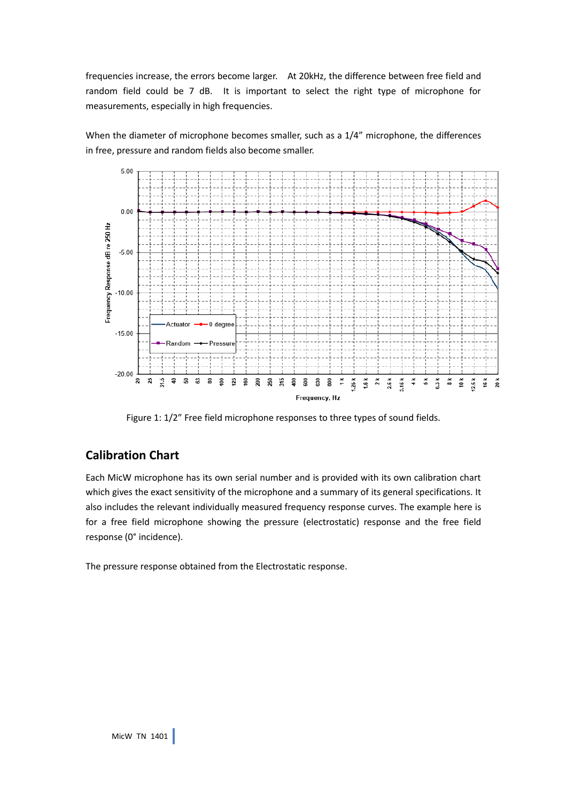frequencies increase, the errors become larger. At 20kHz, the difference between free field and random field could be 7 dB. It is important to select the right type of microphone for measurements, especially in high frequencies.

When the diameter of microphone becomes smaller, such as a 1/4" microphone, the differences in free, pressure and random fields also become smaller.



Figure 1: 1/2" Free field microphone responses to three types of sound fields.

# **Calibration Chart**

Each MicW microphone has its own serial number and is provided with its own calibration chart which gives the exact sensitivity of the microphone and a summary of its general specifications. It also includes the relevant individually measured frequency response curves. The example here is for a free field microphone showing the pressure (electrostatic) response and the free field response (0° incidence).

The pressure response obtained from the Electrostatic response.